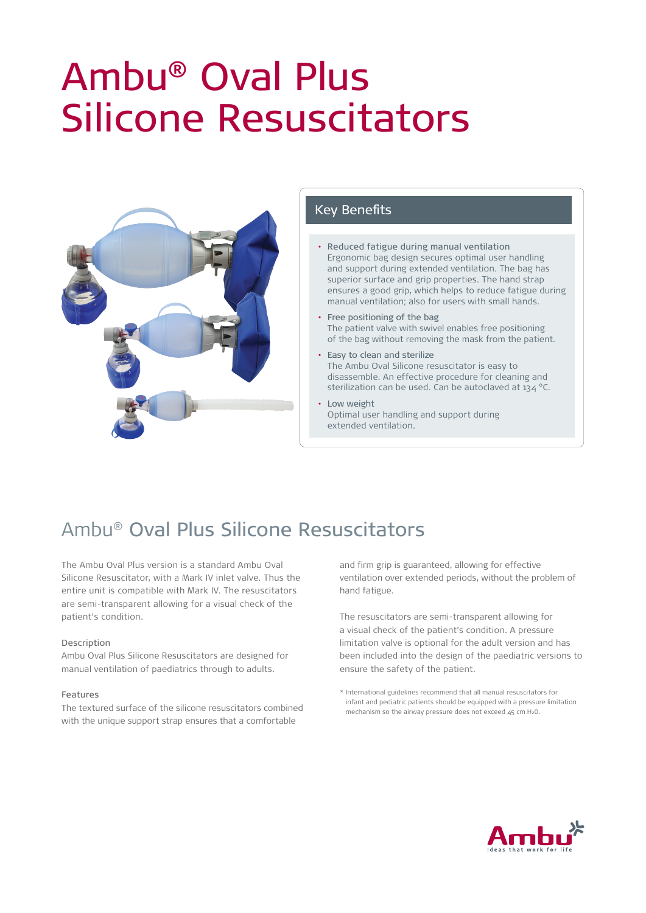# Ambu® Oval Plus Silicone Resuscitators



### Key Benefits

- Reduced fatigue during manual ventilation Ergonomic bag design secures optimal user handling and support during extended ventilation. The bag has superior surface and grip properties. The hand strap ensures a good grip, which helps to reduce fatigue during manual ventilation; also for users with small hands.
- Free positioning of the bag The patient valve with swivel enables free positioning of the bag without removing the mask from the patient.
- Easy to clean and sterilize The Ambu Oval Silicone resuscitator is easy to disassemble. An effective procedure for cleaning and sterilization can be used. Can be autoclaved at  $134^{\circ}$ C.
- Low weight Optimal user handling and support during extended ventilation.

## Ambu® Oval Plus Silicone Resuscitators

The Ambu Oval Plus version is a standard Ambu Oval Silicone Resuscitator, with a Mark IV inlet valve. Thus the entire unit is compatible with Mark IV. The resuscitators are semi-transparent allowing for a visual check of the patient's condition.

### Description

Ambu Oval Plus Silicone Resuscitators are designed for manual ventilation of paediatrics through to adults.

### Features

The textured surface of the silicone resuscitators combined with the unique support strap ensures that a comfortable

and firm grip is guaranteed, allowing for effective ventilation over extended periods, without the problem of hand fatigue.

The resuscitators are semi-transparent allowing for a visual check of the patient's condition. A pressure limitation valve is optional for the adult version and has been included into the design of the paediatric versions to ensure the safety of the patient.



<sup>\*</sup> International guidelines recommend that all manual resuscitators for infant and pediatric patients should be equipped with a pressure limitation mechanism so the airway pressure does not exceed 45 cm H20.